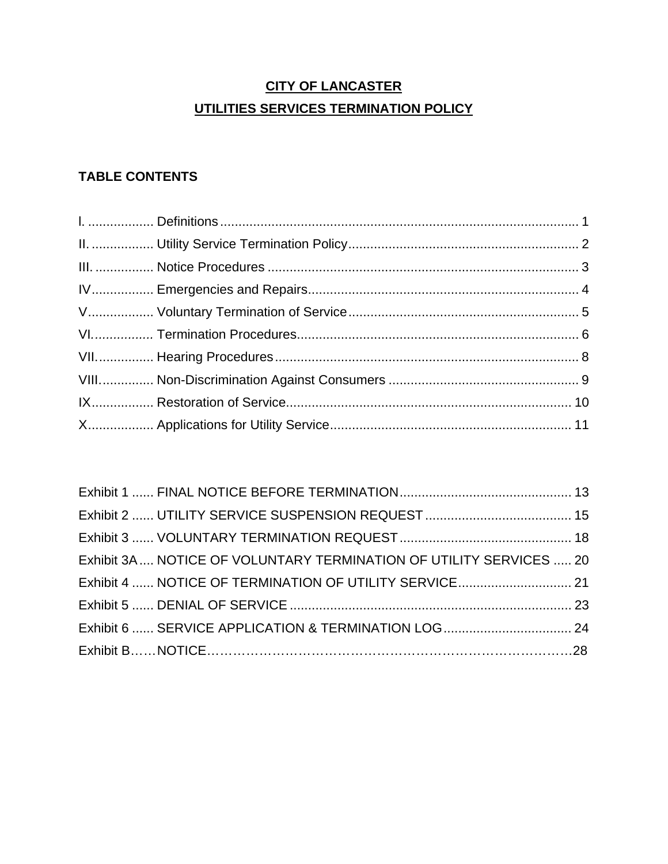### **CITY OF LANCASTER UTILITIES SERVICES TERMINATION POLICY**

### **TABLE CONTENTS**

| Exhibit 3A  NOTICE OF VOLUNTARY TERMINATION OF UTILITY SERVICES  20 |  |
|---------------------------------------------------------------------|--|
|                                                                     |  |
|                                                                     |  |
|                                                                     |  |
|                                                                     |  |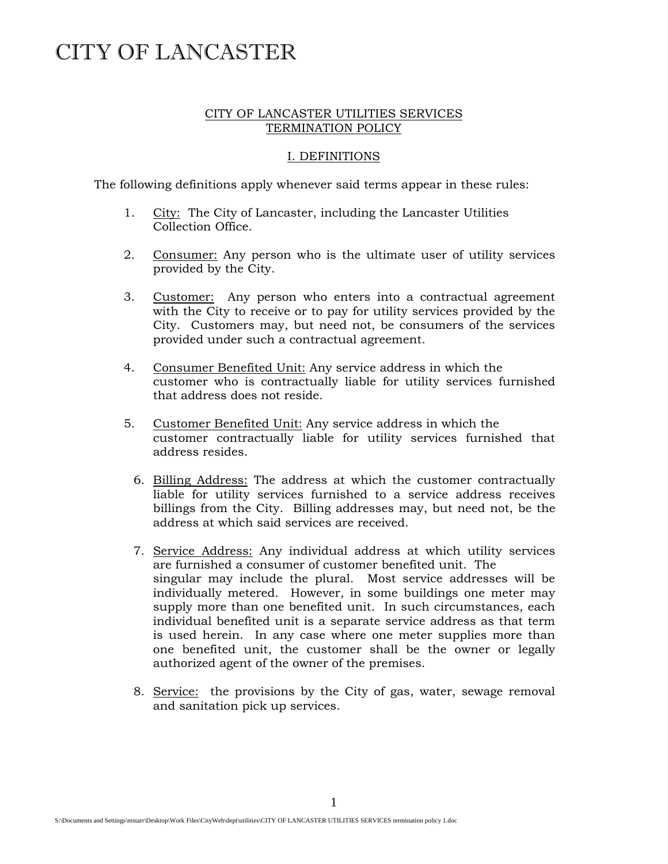### CITY OF LANCASTER UTILITIES SERVICES TERMINATION POLICY

### I. DEFINITIONS

The following definitions apply whenever said terms appear in these rules:

- 1. City: The City of Lancaster, including the Lancaster Utilities Collection Office.
- 2. Consumer: Any person who is the ultimate user of utility services provided by the City.
- 3. Customer: Any person who enters into a contractual agreement with the City to receive or to pay for utility services provided by the City. Customers may, but need not, be consumers of the services provided under such a contractual agreement.
- 4. Consumer Benefited Unit: Any service address in which the customer who is contractually liable for utility services furnished that address does not reside.
- 5. Customer Benefited Unit: Any service address in which the customer contractually liable for utility services furnished that address resides.
	- 6. Billing Address: The address at which the customer contractually liable for utility services furnished to a service address receives billings from the City. Billing addresses may, but need not, be the address at which said services are received.
	- 7. Service Address: Any individual address at which utility services are furnished a consumer of customer benefited unit. The singular may include the plural. Most service addresses will be individually metered. However, in some buildings one meter may supply more than one benefited unit. In such circumstances, each individual benefited unit is a separate service address as that term is used herein. In any case where one meter supplies more than one benefited unit, the customer shall be the owner or legally authorized agent of the owner of the premises.
	- 8. Service: the provisions by the City of gas, water, sewage removal and sanitation pick up services.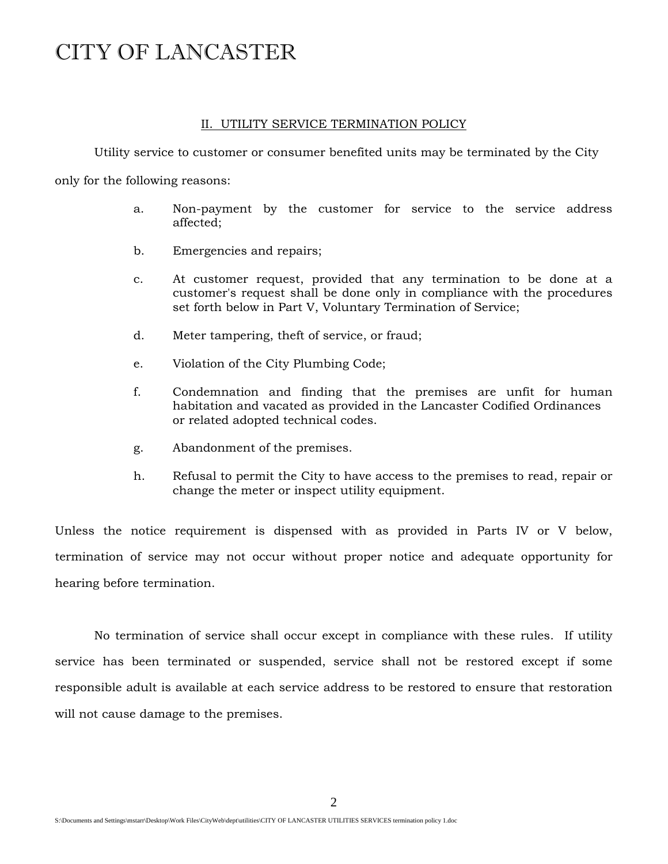#### II. UTILITY SERVICE TERMINATION POLICY

Utility service to customer or consumer benefited units may be terminated by the City

only for the following reasons:

- a. Non-payment by the customer for service to the service address affected;
- b. Emergencies and repairs;
- c. At customer request, provided that any termination to be done at a customer's request shall be done only in compliance with the procedures set forth below in Part V, Voluntary Termination of Service;
- d. Meter tampering, theft of service, or fraud;
- e. Violation of the City Plumbing Code;
- f. Condemnation and finding that the premises are unfit for human habitation and vacated as provided in the Lancaster Codified Ordinances or related adopted technical codes.
- g. Abandonment of the premises.
- h. Refusal to permit the City to have access to the premises to read, repair or change the meter or inspect utility equipment.

Unless the notice requirement is dispensed with as provided in Parts IV or V below, termination of service may not occur without proper notice and adequate opportunity for hearing before termination.

 No termination of service shall occur except in compliance with these rules. If utility service has been terminated or suspended, service shall not be restored except if some responsible adult is available at each service address to be restored to ensure that restoration will not cause damage to the premises.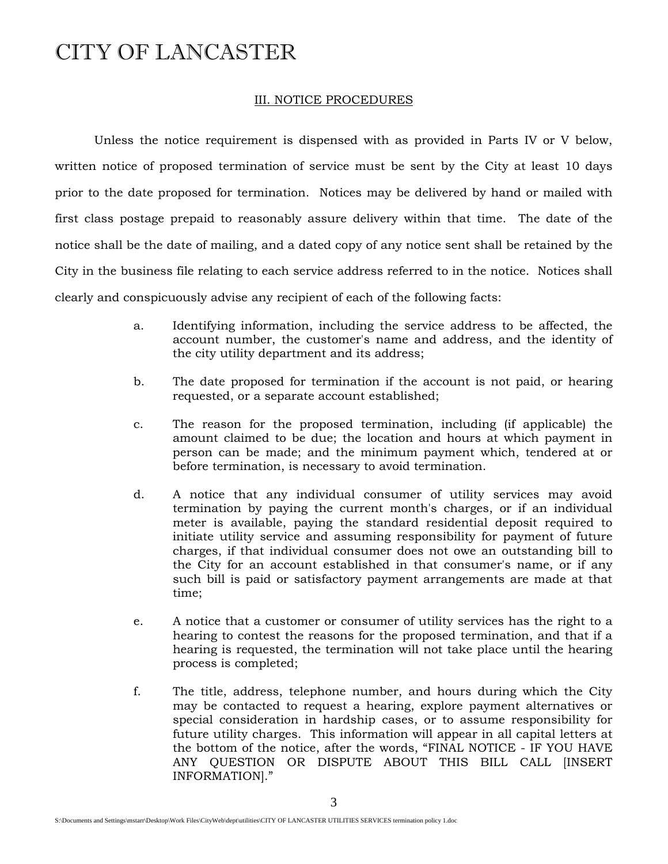### III. NOTICE PROCEDURES

 Unless the notice requirement is dispensed with as provided in Parts IV or V below, written notice of proposed termination of service must be sent by the City at least 10 days prior to the date proposed for termination. Notices may be delivered by hand or mailed with first class postage prepaid to reasonably assure delivery within that time. The date of the notice shall be the date of mailing, and a dated copy of any notice sent shall be retained by the City in the business file relating to each service address referred to in the notice. Notices shall clearly and conspicuously advise any recipient of each of the following facts:

- a. Identifying information, including the service address to be affected, the account number, the customer's name and address, and the identity of the city utility department and its address;
- b. The date proposed for termination if the account is not paid, or hearing requested, or a separate account established;
- c. The reason for the proposed termination, including (if applicable) the amount claimed to be due; the location and hours at which payment in person can be made; and the minimum payment which, tendered at or before termination, is necessary to avoid termination.
- d. A notice that any individual consumer of utility services may avoid termination by paying the current month's charges, or if an individual meter is available, paying the standard residential deposit required to initiate utility service and assuming responsibility for payment of future charges, if that individual consumer does not owe an outstanding bill to the City for an account established in that consumer's name, or if any such bill is paid or satisfactory payment arrangements are made at that time;
- e. A notice that a customer or consumer of utility services has the right to a hearing to contest the reasons for the proposed termination, and that if a hearing is requested, the termination will not take place until the hearing process is completed;
- f. The title, address, telephone number, and hours during which the City may be contacted to request a hearing, explore payment alternatives or special consideration in hardship cases, or to assume responsibility for future utility charges. This information will appear in all capital letters at the bottom of the notice, after the words, "FINAL NOTICE - IF YOU HAVE ANY QUESTION OR DISPUTE ABOUT THIS BILL CALL [INSERT INFORMATION]."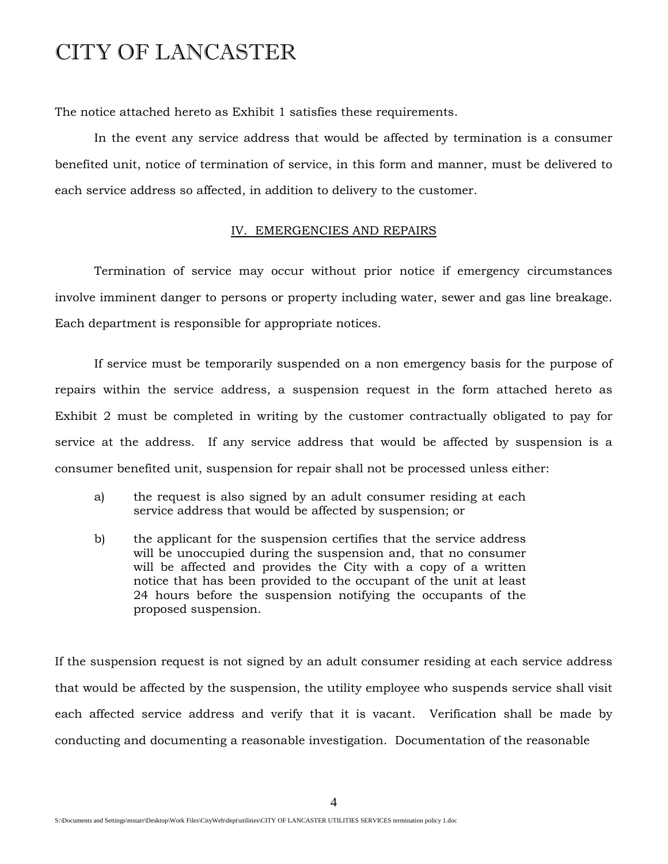The notice attached hereto as Exhibit 1 satisfies these requirements.

 In the event any service address that would be affected by termination is a consumer benefited unit, notice of termination of service, in this form and manner, must be delivered to each service address so affected, in addition to delivery to the customer.

#### IV. EMERGENCIES AND REPAIRS

 Termination of service may occur without prior notice if emergency circumstances involve imminent danger to persons or property including water, sewer and gas line breakage. Each department is responsible for appropriate notices.

 If service must be temporarily suspended on a non emergency basis for the purpose of repairs within the service address, a suspension request in the form attached hereto as Exhibit 2 must be completed in writing by the customer contractually obligated to pay for service at the address. If any service address that would be affected by suspension is a consumer benefited unit, suspension for repair shall not be processed unless either:

- a) the request is also signed by an adult consumer residing at each service address that would be affected by suspension; or
- b) the applicant for the suspension certifies that the service address will be unoccupied during the suspension and, that no consumer will be affected and provides the City with a copy of a written notice that has been provided to the occupant of the unit at least 24 hours before the suspension notifying the occupants of the proposed suspension.

If the suspension request is not signed by an adult consumer residing at each service address that would be affected by the suspension, the utility employee who suspends service shall visit each affected service address and verify that it is vacant. Verification shall be made by conducting and documenting a reasonable investigation. Documentation of the reasonable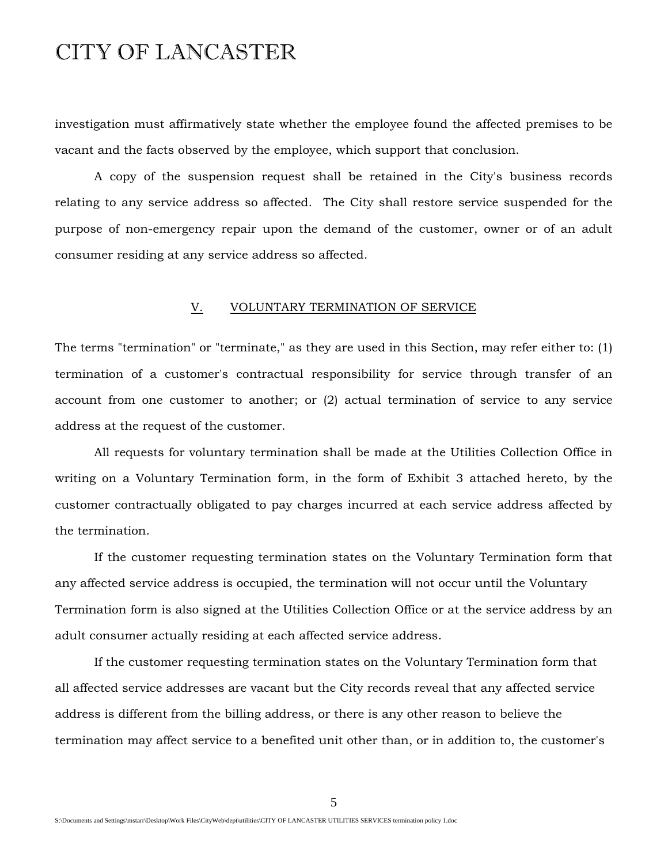investigation must affirmatively state whether the employee found the affected premises to be vacant and the facts observed by the employee, which support that conclusion.

 A copy of the suspension request shall be retained in the City's business records relating to any service address so affected. The City shall restore service suspended for the purpose of non-emergency repair upon the demand of the customer, owner or of an adult consumer residing at any service address so affected.

#### V. VOLUNTARY TERMINATION OF SERVICE

The terms "termination" or "terminate," as they are used in this Section, may refer either to: (1) termination of a customer's contractual responsibility for service through transfer of an account from one customer to another; or (2) actual termination of service to any service address at the request of the customer.

 All requests for voluntary termination shall be made at the Utilities Collection Office in writing on a Voluntary Termination form, in the form of Exhibit 3 attached hereto, by the customer contractually obligated to pay charges incurred at each service address affected by the termination.

 If the customer requesting termination states on the Voluntary Termination form that any affected service address is occupied, the termination will not occur until the Voluntary Termination form is also signed at the Utilities Collection Office or at the service address by an adult consumer actually residing at each affected service address.

 If the customer requesting termination states on the Voluntary Termination form that all affected service addresses are vacant but the City records reveal that any affected service address is different from the billing address, or there is any other reason to believe the termination may affect service to a benefited unit other than, or in addition to, the customer's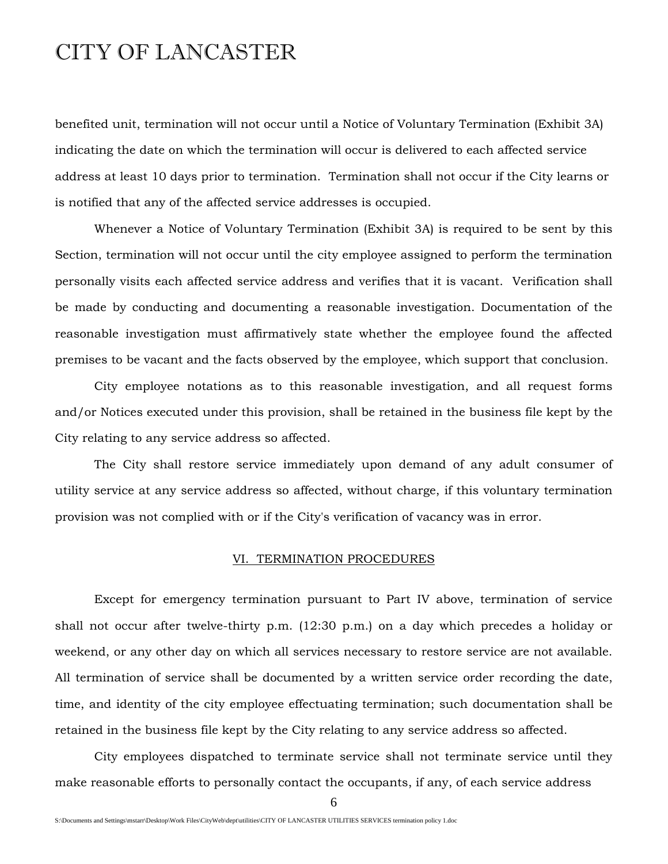benefited unit, termination will not occur until a Notice of Voluntary Termination (Exhibit 3A) indicating the date on which the termination will occur is delivered to each affected service address at least 10 days prior to termination. Termination shall not occur if the City learns or is notified that any of the affected service addresses is occupied.

 Whenever a Notice of Voluntary Termination (Exhibit 3A) is required to be sent by this Section, termination will not occur until the city employee assigned to perform the termination personally visits each affected service address and verifies that it is vacant. Verification shall be made by conducting and documenting a reasonable investigation. Documentation of the reasonable investigation must affirmatively state whether the employee found the affected premises to be vacant and the facts observed by the employee, which support that conclusion.

 City employee notations as to this reasonable investigation, and all request forms and/or Notices executed under this provision, shall be retained in the business file kept by the City relating to any service address so affected.

 The City shall restore service immediately upon demand of any adult consumer of utility service at any service address so affected, without charge, if this voluntary termination provision was not complied with or if the City's verification of vacancy was in error.

#### VI. TERMINATION PROCEDURES

 Except for emergency termination pursuant to Part IV above, termination of service shall not occur after twelve-thirty p.m. (12:30 p.m.) on a day which precedes a holiday or weekend, or any other day on which all services necessary to restore service are not available. All termination of service shall be documented by a written service order recording the date, time, and identity of the city employee effectuating termination; such documentation shall be retained in the business file kept by the City relating to any service address so affected.

 City employees dispatched to terminate service shall not terminate service until they make reasonable efforts to personally contact the occupants, if any, of each service address

6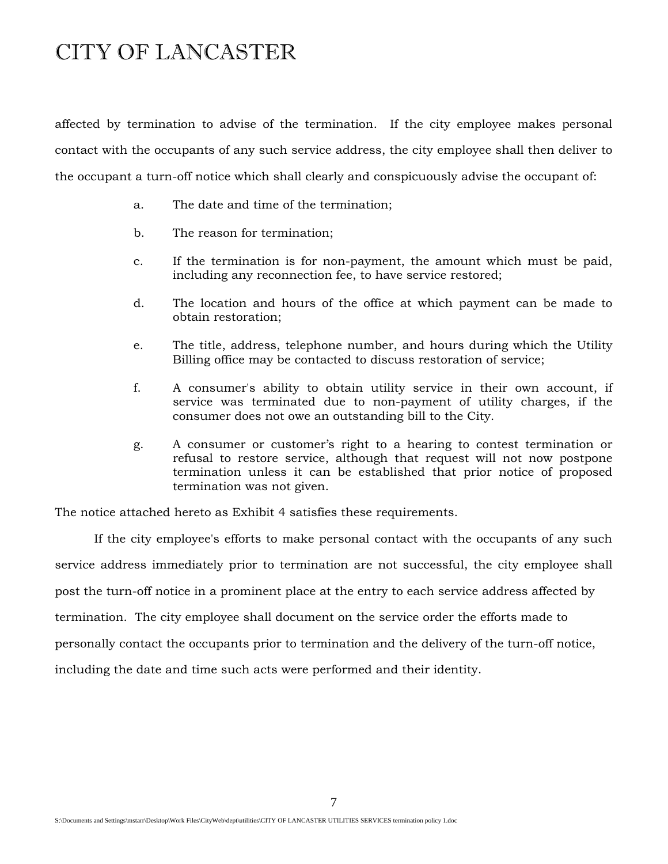affected by termination to advise of the termination. If the city employee makes personal contact with the occupants of any such service address, the city employee shall then deliver to the occupant a turn-off notice which shall clearly and conspicuously advise the occupant of:

- a. The date and time of the termination;
- b. The reason for termination;
- c. If the termination is for non-payment, the amount which must be paid, including any reconnection fee, to have service restored;
- d. The location and hours of the office at which payment can be made to obtain restoration;
- e. The title, address, telephone number, and hours during which the Utility Billing office may be contacted to discuss restoration of service;
- f. A consumer's ability to obtain utility service in their own account, if service was terminated due to non-payment of utility charges, if the consumer does not owe an outstanding bill to the City.
- g. A consumer or customer's right to a hearing to contest termination or refusal to restore service, although that request will not now postpone termination unless it can be established that prior notice of proposed termination was not given.

The notice attached hereto as Exhibit 4 satisfies these requirements.

 If the city employee's efforts to make personal contact with the occupants of any such service address immediately prior to termination are not successful, the city employee shall post the turn-off notice in a prominent place at the entry to each service address affected by termination. The city employee shall document on the service order the efforts made to personally contact the occupants prior to termination and the delivery of the turn-off notice, including the date and time such acts were performed and their identity.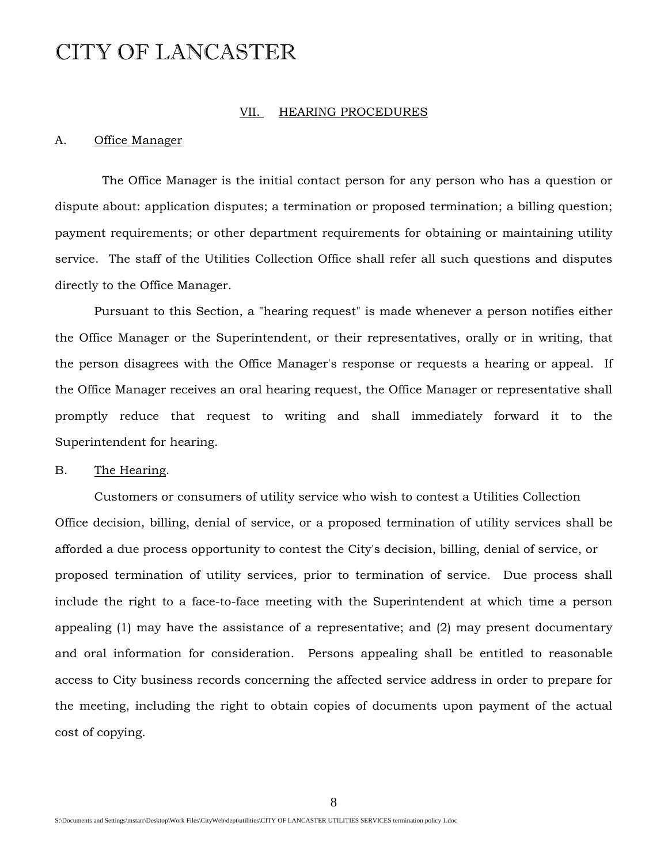#### VII. HEARING PROCEDURES

#### A. Office Manager

 The Office Manager is the initial contact person for any person who has a question or dispute about: application disputes; a termination or proposed termination; a billing question; payment requirements; or other department requirements for obtaining or maintaining utility service. The staff of the Utilities Collection Office shall refer all such questions and disputes directly to the Office Manager.

 Pursuant to this Section, a "hearing request" is made whenever a person notifies either the Office Manager or the Superintendent, or their representatives, orally or in writing, that the person disagrees with the Office Manager's response or requests a hearing or appeal. If the Office Manager receives an oral hearing request, the Office Manager or representative shall promptly reduce that request to writing and shall immediately forward it to the Superintendent for hearing.

### B. The Hearing.

 Customers or consumers of utility service who wish to contest a Utilities Collection Office decision, billing, denial of service, or a proposed termination of utility services shall be afforded a due process opportunity to contest the City's decision, billing, denial of service, or proposed termination of utility services, prior to termination of service. Due process shall include the right to a face-to-face meeting with the Superintendent at which time a person appealing (1) may have the assistance of a representative; and (2) may present documentary and oral information for consideration. Persons appealing shall be entitled to reasonable access to City business records concerning the affected service address in order to prepare for the meeting, including the right to obtain copies of documents upon payment of the actual cost of copying.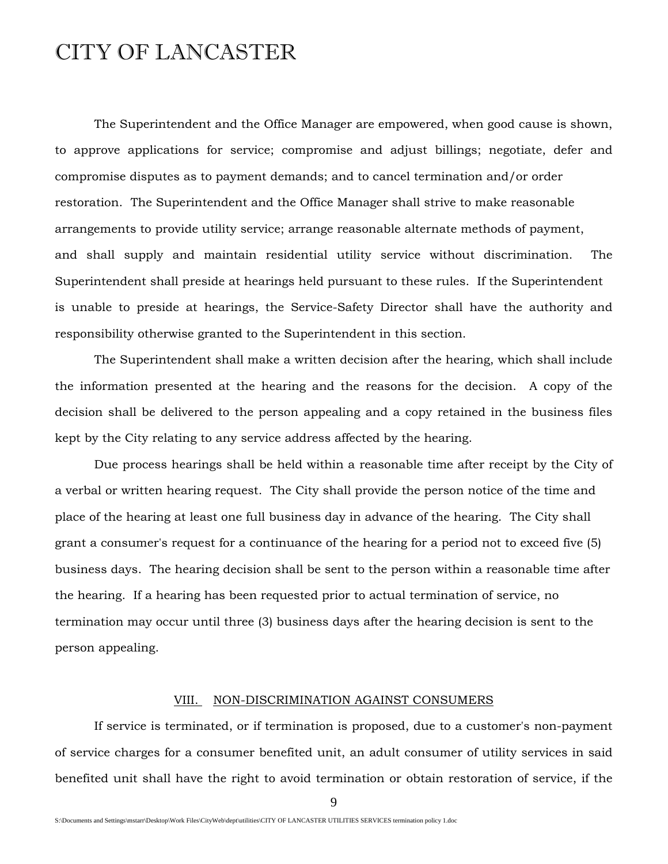The Superintendent and the Office Manager are empowered, when good cause is shown, to approve applications for service; compromise and adjust billings; negotiate, defer and compromise disputes as to payment demands; and to cancel termination and/or order restoration. The Superintendent and the Office Manager shall strive to make reasonable arrangements to provide utility service; arrange reasonable alternate methods of payment, and shall supply and maintain residential utility service without discrimination. The Superintendent shall preside at hearings held pursuant to these rules. If the Superintendent is unable to preside at hearings, the Service-Safety Director shall have the authority and responsibility otherwise granted to the Superintendent in this section.

 The Superintendent shall make a written decision after the hearing, which shall include the information presented at the hearing and the reasons for the decision. A copy of the decision shall be delivered to the person appealing and a copy retained in the business files kept by the City relating to any service address affected by the hearing.

 Due process hearings shall be held within a reasonable time after receipt by the City of a verbal or written hearing request. The City shall provide the person notice of the time and place of the hearing at least one full business day in advance of the hearing. The City shall grant a consumer's request for a continuance of the hearing for a period not to exceed five (5) business days. The hearing decision shall be sent to the person within a reasonable time after the hearing. If a hearing has been requested prior to actual termination of service, no termination may occur until three (3) business days after the hearing decision is sent to the person appealing.

#### VIII. NON-DISCRIMINATION AGAINST CONSUMERS

 If service is terminated, or if termination is proposed, due to a customer's non-payment of service charges for a consumer benefited unit, an adult consumer of utility services in said benefited unit shall have the right to avoid termination or obtain restoration of service, if the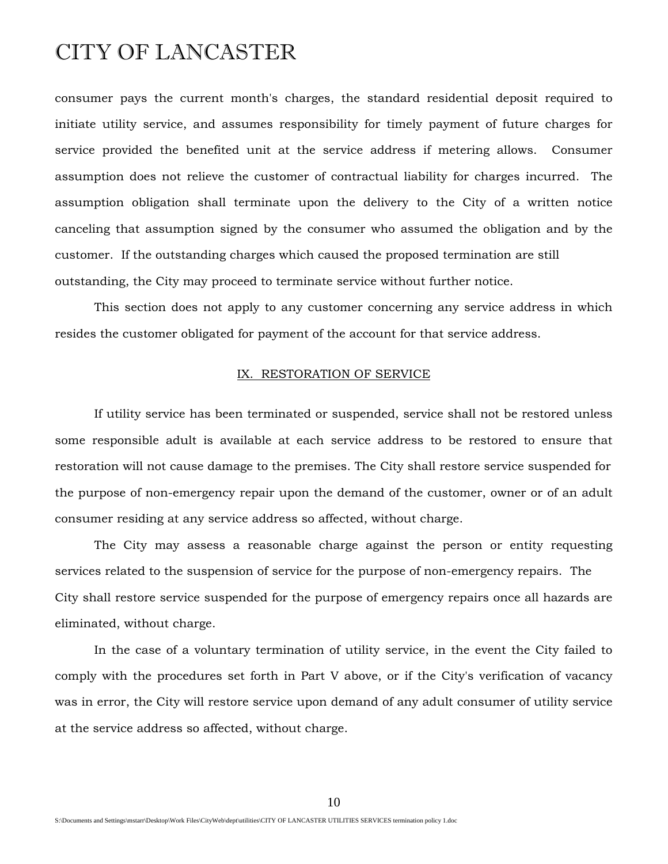consumer pays the current month's charges, the standard residential deposit required to initiate utility service, and assumes responsibility for timely payment of future charges for service provided the benefited unit at the service address if metering allows. Consumer assumption does not relieve the customer of contractual liability for charges incurred. The assumption obligation shall terminate upon the delivery to the City of a written notice canceling that assumption signed by the consumer who assumed the obligation and by the customer. If the outstanding charges which caused the proposed termination are still outstanding, the City may proceed to terminate service without further notice.

 This section does not apply to any customer concerning any service address in which resides the customer obligated for payment of the account for that service address.

#### IX. RESTORATION OF SERVICE

 If utility service has been terminated or suspended, service shall not be restored unless some responsible adult is available at each service address to be restored to ensure that restoration will not cause damage to the premises. The City shall restore service suspended for the purpose of non-emergency repair upon the demand of the customer, owner or of an adult consumer residing at any service address so affected, without charge.

 The City may assess a reasonable charge against the person or entity requesting services related to the suspension of service for the purpose of non-emergency repairs. The City shall restore service suspended for the purpose of emergency repairs once all hazards are eliminated, without charge.

 In the case of a voluntary termination of utility service, in the event the City failed to comply with the procedures set forth in Part V above, or if the City's verification of vacancy was in error, the City will restore service upon demand of any adult consumer of utility service at the service address so affected, without charge.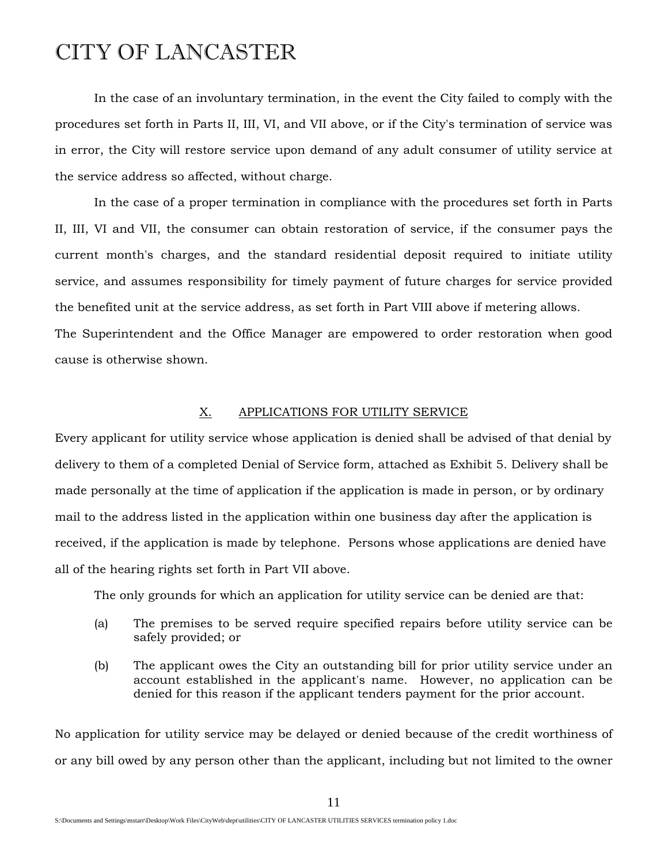In the case of an involuntary termination, in the event the City failed to comply with the procedures set forth in Parts II, III, VI, and VII above, or if the City's termination of service was in error, the City will restore service upon demand of any adult consumer of utility service at the service address so affected, without charge.

 In the case of a proper termination in compliance with the procedures set forth in Parts II, III, VI and VII, the consumer can obtain restoration of service, if the consumer pays the current month's charges, and the standard residential deposit required to initiate utility service, and assumes responsibility for timely payment of future charges for service provided the benefited unit at the service address, as set forth in Part VIII above if metering allows. The Superintendent and the Office Manager are empowered to order restoration when good

cause is otherwise shown.

#### X. APPLICATIONS FOR UTILITY SERVICE

Every applicant for utility service whose application is denied shall be advised of that denial by delivery to them of a completed Denial of Service form, attached as Exhibit 5. Delivery shall be made personally at the time of application if the application is made in person, or by ordinary mail to the address listed in the application within one business day after the application is received, if the application is made by telephone. Persons whose applications are denied have all of the hearing rights set forth in Part VII above.

The only grounds for which an application for utility service can be denied are that:

- (a) The premises to be served require specified repairs before utility service can be safely provided; or
- (b) The applicant owes the City an outstanding bill for prior utility service under an account established in the applicant's name. However, no application can be denied for this reason if the applicant tenders payment for the prior account.

No application for utility service may be delayed or denied because of the credit worthiness of or any bill owed by any person other than the applicant, including but not limited to the owner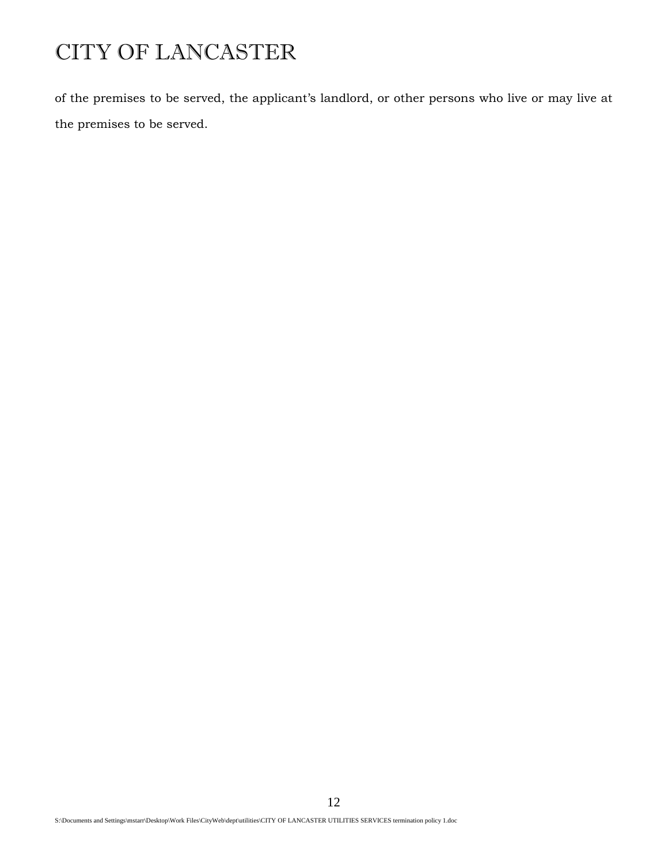of the premises to be served, the applicant's landlord, or other persons who live or may live at the premises to be served.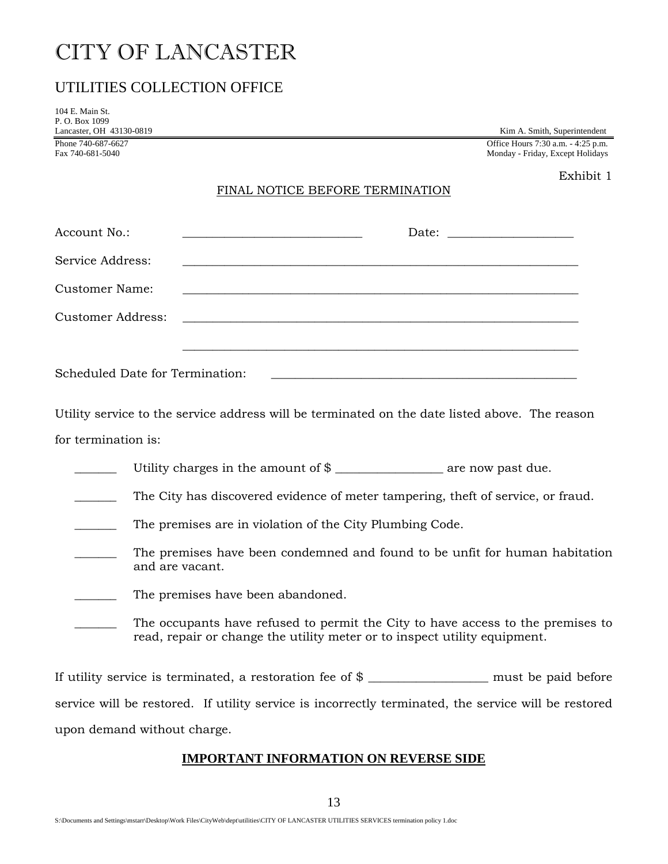### UTILITIES COLLECTION OFFICE

| 104 E. Main St.<br>P.O. Box 1099<br>Lancaster, OH 43130-0819 | Kim A. Smith, Superintendent                                                                                                                                 |  |  |
|--------------------------------------------------------------|--------------------------------------------------------------------------------------------------------------------------------------------------------------|--|--|
| Phone 740-687-6627<br>Fax 740-681-5040                       | Office Hours 7:30 a.m. - 4:25 p.m.<br>Monday - Friday, Except Holidays                                                                                       |  |  |
|                                                              | Exhibit 1<br>FINAL NOTICE BEFORE TERMINATION                                                                                                                 |  |  |
| Account No.:                                                 |                                                                                                                                                              |  |  |
| Service Address:                                             |                                                                                                                                                              |  |  |
| <b>Customer Name:</b>                                        | <u> 1989 - Jan James Samuel (d. 1989)</u>                                                                                                                    |  |  |
| <b>Customer Address:</b>                                     |                                                                                                                                                              |  |  |
|                                                              | Scheduled Date for Termination:<br>Utility service to the service address will be terminated on the date listed above. The reason                            |  |  |
| for termination is:                                          |                                                                                                                                                              |  |  |
|                                                              |                                                                                                                                                              |  |  |
|                                                              | The City has discovered evidence of meter tampering, theft of service, or fraud.                                                                             |  |  |
|                                                              | The premises are in violation of the City Plumbing Code.                                                                                                     |  |  |
|                                                              | The premises have been condemned and found to be unfit for human habitation<br>and are vacant.                                                               |  |  |
|                                                              | The premises have been abandoned.                                                                                                                            |  |  |
|                                                              | The occupants have refused to permit the City to have access to the premises to<br>read, repair or change the utility meter or to inspect utility equipment. |  |  |
|                                                              | If utility service is terminated, a restoration fee of $\$<br>must be paid before                                                                            |  |  |

service will be restored. If utility service is incorrectly terminated, the service will be restored upon demand without charge.

### **IMPORTANT INFORMATION ON REVERSE SIDE**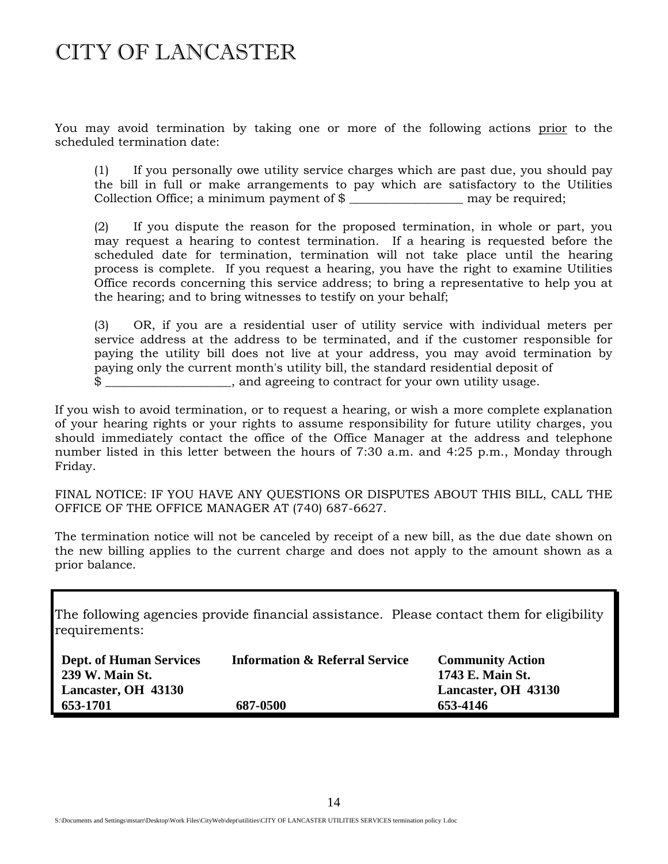You may avoid termination by taking one or more of the following actions prior to the scheduled termination date:

(1) If you personally owe utility service charges which are past due, you should pay the bill in full or make arrangements to pay which are satisfactory to the Utilities Collection Office; a minimum payment of  $\$\_$  may be required;

 (2) If you dispute the reason for the proposed termination, in whole or part, you may request a hearing to contest termination. If a hearing is requested before the scheduled date for termination, termination will not take place until the hearing process is complete. If you request a hearing, you have the right to examine Utilities Office records concerning this service address; to bring a representative to help you at the hearing; and to bring witnesses to testify on your behalf;

(3) OR, if you are a residential user of utility service with individual meters per service address at the address to be terminated, and if the customer responsible for paying the utility bill does not live at your address, you may avoid termination by paying only the current month's utility bill, the standard residential deposit of  $\frac{1}{2}$  and agreeing to contract for your own utility usage.

If you wish to avoid termination, or to request a hearing, or wish a more complete explanation of your hearing rights or your rights to assume responsibility for future utility charges, you should immediately contact the office of the Office Manager at the address and telephone number listed in this letter between the hours of 7:30 a.m. and 4:25 p.m., Monday through Friday.

FINAL NOTICE: IF YOU HAVE ANY QUESTIONS OR DISPUTES ABOUT THIS BILL, CALL THE OFFICE OF THE OFFICE MANAGER AT (740) 687-6627.

The termination notice will not be canceled by receipt of a new bill, as the due date shown on the new billing applies to the current charge and does not apply to the amount shown as a prior balance.

The following agencies provide financial assistance. Please contact them for eligibility requirements:

| <b>Dept. of Human Services</b><br>239 W. Main St. | <b>Information &amp; Referral Service</b> | <b>Community Action</b><br>1743 E. Main St. |
|---------------------------------------------------|-------------------------------------------|---------------------------------------------|
| Lancaster, OH 43130                               |                                           | Lancaster, OH 43130                         |
| 653-1701                                          | 687-0500                                  | 653-4146                                    |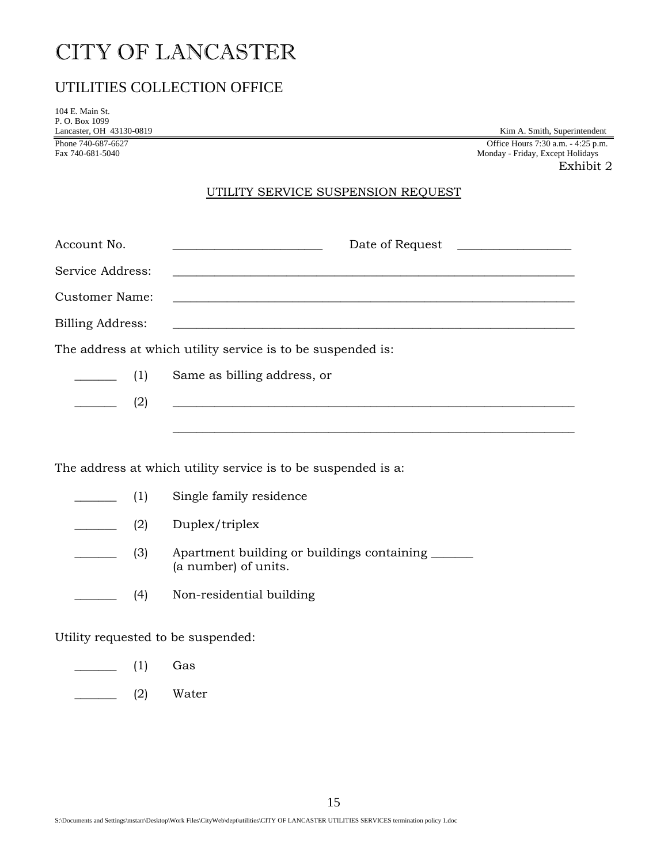### UTILITIES COLLECTION OFFICE

| 104 E. Main St.               |  |
|-------------------------------|--|
| P. O. Box 1099                |  |
| Lancaster, OH 43130-0819      |  |
| Phone 740-687-6627            |  |
| $E_{\text{eff}}$ 740 601 5040 |  |

Kim A. Smith, Superintendent Office Hours  $7:30$  a.m.  $-4:25$  p.m. Fax 740-681-5040 Monday - Friday, Except Holidays

Exhibit 2

### UTILITY SERVICE SUSPENSION REQUEST

| Account No.                                                 | Date of Request                                                                                                      |  |  |
|-------------------------------------------------------------|----------------------------------------------------------------------------------------------------------------------|--|--|
| Service Address:                                            | <u> Andreas Andreas Andreas Andreas Andreas Andreas Andreas Andreas Andreas Andreas Andreas Andreas Andreas Andr</u> |  |  |
| Customer Name:                                              |                                                                                                                      |  |  |
| Billing Address:                                            | <u> 1989 - Andrea Andrew Maria (h. 1989).</u>                                                                        |  |  |
| The address at which utility service is to be suspended is: |                                                                                                                      |  |  |
| $\frac{1}{\sqrt{1-\frac{1}{2}}}\tag{1}$                     | Same as billing address, or                                                                                          |  |  |
| (2)                                                         | <u> Alexandria de la contrada de la contrada de la contrada de la contrada de la contrada de la contrada de la c</u> |  |  |
|                                                             |                                                                                                                      |  |  |

The address at which utility service is to be suspended is a:

|               | (1) | Single family residence                                            |  |
|---------------|-----|--------------------------------------------------------------------|--|
|               | (2) | Duplex/triplex                                                     |  |
|               | (3) | Apartment building or buildings containing<br>(a number) of units. |  |
|               | (4) | Non-residential building                                           |  |
| $\frac{1}{2}$ |     |                                                                    |  |

Utility requested to be suspended:

- $\frac{\ }{\ }$  (1) Gas
- \_\_\_\_\_\_\_ (2) Water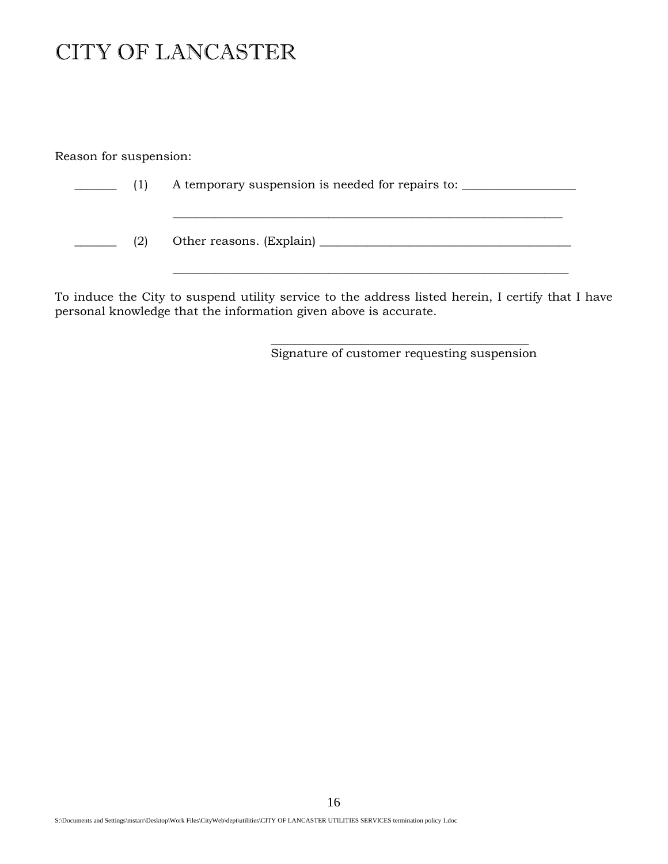Reason for suspension:

| (1) | A temporary suspension is needed for repairs to: |
|-----|--------------------------------------------------|
| (2) | Other reasons. (Explain) _______                 |

To induce the City to suspend utility service to the address listed herein, I certify that I have personal knowledge that the information given above is accurate.

> \_\_\_\_\_\_\_\_\_\_\_\_\_\_\_\_\_\_\_\_\_\_\_\_\_\_\_\_\_\_\_\_\_\_\_\_\_\_\_\_\_\_\_ Signature of customer requesting suspension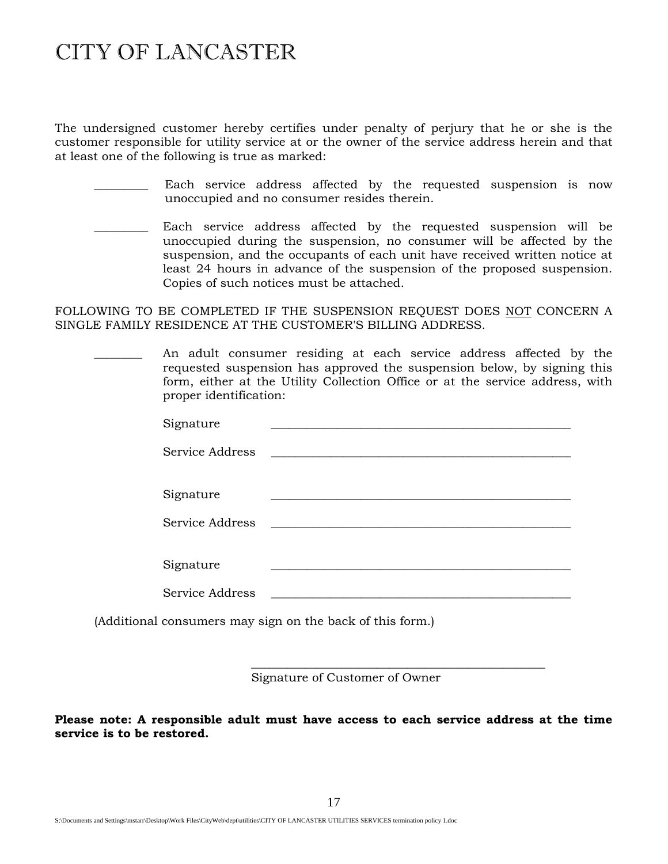The undersigned customer hereby certifies under penalty of perjury that he or she is the customer responsible for utility service at or the owner of the service address herein and that at least one of the following is true as marked:

- Each service address affected by the requested suspension is now unoccupied and no consumer resides therein.
- Each service address affected by the requested suspension will be unoccupied during the suspension, no consumer will be affected by the suspension, and the occupants of each unit have received written notice at least 24 hours in advance of the suspension of the proposed suspension. Copies of such notices must be attached.

FOLLOWING TO BE COMPLETED IF THE SUSPENSION REQUEST DOES NOT CONCERN A SINGLE FAMILY RESIDENCE AT THE CUSTOMER'S BILLING ADDRESS.

An adult consumer residing at each service address affected by the requested suspension has approved the suspension below, by signing this form, either at the Utility Collection Office or at the service address, with proper identification:

| Signature       |  |
|-----------------|--|
| Service Address |  |
|                 |  |
| Signature       |  |
| Service Address |  |
|                 |  |
| Signature       |  |
| Service Address |  |

(Additional consumers may sign on the back of this form.)

Signature of Customer of Owner

\_\_\_\_\_\_\_\_\_\_\_\_\_\_\_\_\_\_\_\_\_\_\_\_\_\_\_\_\_\_\_\_\_\_\_\_\_\_\_\_\_\_\_\_\_\_\_\_\_

**Please note: A responsible adult must have access to each service address at the time service is to be restored.**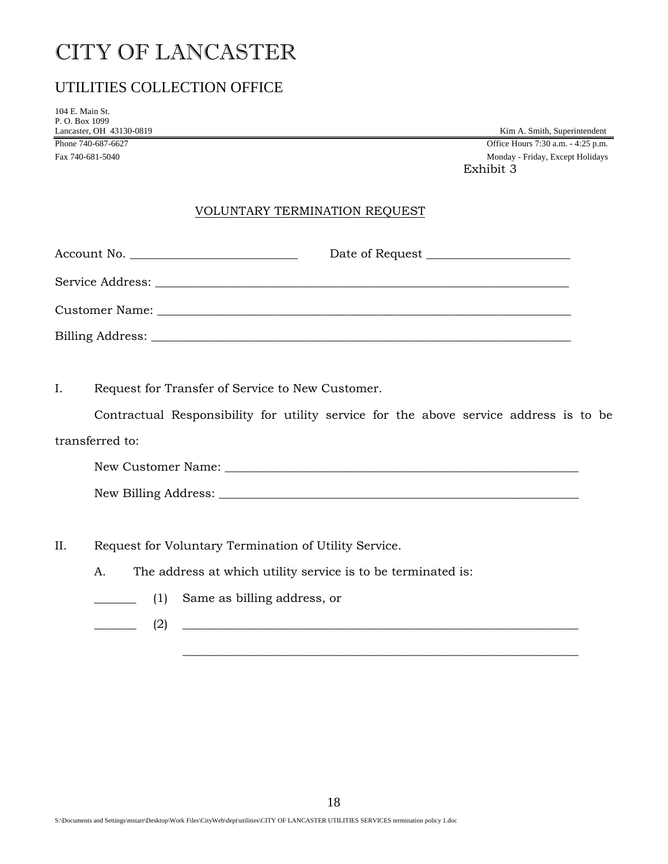### UTILITIES COLLECTION OFFICE

104 E. Main St. P. O. Box 1099

Lancaster, OH 43130-0819<br>
Phone 740-687-6627<br>
Office Hours 7:30 a.m. - 4:25 p.m. Office Hours 7:30 a.m. - 4:25 p.m. Fax 740-681-5040 Monday - Friday, Except Holidays Exhibit 3

### VOLUNTARY TERMINATION REQUEST

I. Request for Transfer of Service to New Customer.

 Contractual Responsibility for utility service for the above service address is to be transferred to:

New Customer Name: \_\_\_\_\_\_\_\_\_\_\_\_\_\_\_\_\_\_\_\_\_\_\_\_\_\_\_\_\_\_\_\_\_\_\_\_\_\_\_\_\_\_\_\_\_\_\_\_\_\_\_\_\_\_\_\_\_\_\_ New Billing Address: \_\_\_\_\_\_\_\_\_\_\_\_\_\_\_\_\_\_\_\_\_\_\_\_\_\_\_\_\_\_\_\_\_\_\_\_\_\_\_\_\_\_\_\_\_\_\_\_\_\_\_\_\_\_\_\_\_\_\_\_

II. Request for Voluntary Termination of Utility Service.

A. The address at which utility service is to be terminated is:

- \_\_\_\_\_\_\_ (1) Same as billing address, or
- \_\_\_\_\_\_\_ (2) \_\_\_\_\_\_\_\_\_\_\_\_\_\_\_\_\_\_\_\_\_\_\_\_\_\_\_\_\_\_\_\_\_\_\_\_\_\_\_\_\_\_\_\_\_\_\_\_\_\_\_\_\_\_\_\_\_\_\_\_\_\_\_\_\_\_

 $\mathcal{L} = \{ \mathcal{L} = \{ \mathcal{L} \mid \mathcal{L} = \{ \mathcal{L} \mid \mathcal{L} = \{ \mathcal{L} \mid \mathcal{L} = \{ \mathcal{L} \mid \mathcal{L} = \{ \mathcal{L} \mid \mathcal{L} = \{ \mathcal{L} \mid \mathcal{L} = \{ \mathcal{L} \mid \mathcal{L} = \{ \mathcal{L} \mid \mathcal{L} = \{ \mathcal{L} \mid \mathcal{L} = \{ \mathcal{L} \mid \mathcal{L} = \{ \mathcal{L} \mid \mathcal{L} = \{ \mathcal{L} \mid \mathcal{L} =$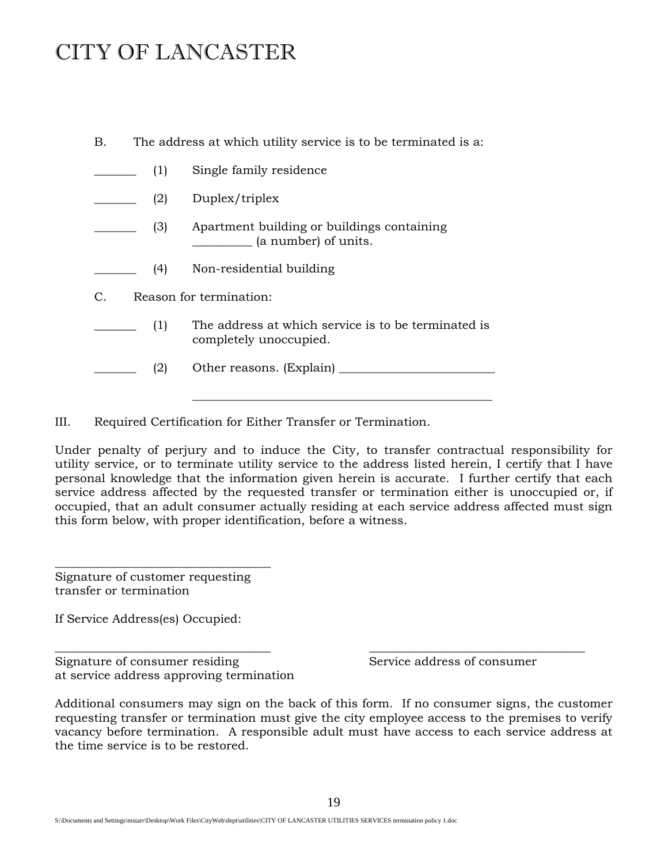| В.                            | The address at which utility service is to be terminated is a: |                                                                               |  |
|-------------------------------|----------------------------------------------------------------|-------------------------------------------------------------------------------|--|
|                               | (1)                                                            | Single family residence                                                       |  |
|                               | (2)                                                            | Duplex/triplex                                                                |  |
|                               | (3)                                                            | Apartment building or buildings containing<br>(a number) of units.            |  |
|                               | (4)                                                            | Non-residential building                                                      |  |
| Reason for termination:<br>C. |                                                                |                                                                               |  |
|                               | (1)                                                            | The address at which service is to be terminated is<br>completely unoccupied. |  |
|                               | (2)                                                            |                                                                               |  |
|                               |                                                                |                                                                               |  |

III. Required Certification for Either Transfer or Termination.

Under penalty of perjury and to induce the City, to transfer contractual responsibility for utility service, or to terminate utility service to the address listed herein, I certify that I have personal knowledge that the information given herein is accurate. I further certify that each service address affected by the requested transfer or termination either is unoccupied or, if occupied, that an adult consumer actually residing at each service address affected must sign this form below, with proper identification, before a witness.

Signature of customer requesting transfer or termination

\_\_\_\_\_\_\_\_\_\_\_\_\_\_\_\_\_\_\_\_\_\_\_\_\_\_\_\_\_\_\_\_\_\_\_\_

If Service Address(es) Occupied:

Signature of consumer residing Service address of consumer at service address approving termination

Additional consumers may sign on the back of this form. If no consumer signs, the customer requesting transfer or termination must give the city employee access to the premises to verify vacancy before termination. A responsible adult must have access to each service address at the time service is to be restored.

\_\_\_\_\_\_\_\_\_\_\_\_\_\_\_\_\_\_\_\_\_\_\_\_\_\_\_\_\_\_\_\_\_\_\_\_ \_\_\_\_\_\_\_\_\_\_\_\_\_\_\_\_\_\_\_\_\_\_\_\_\_\_\_\_\_\_\_\_\_\_\_\_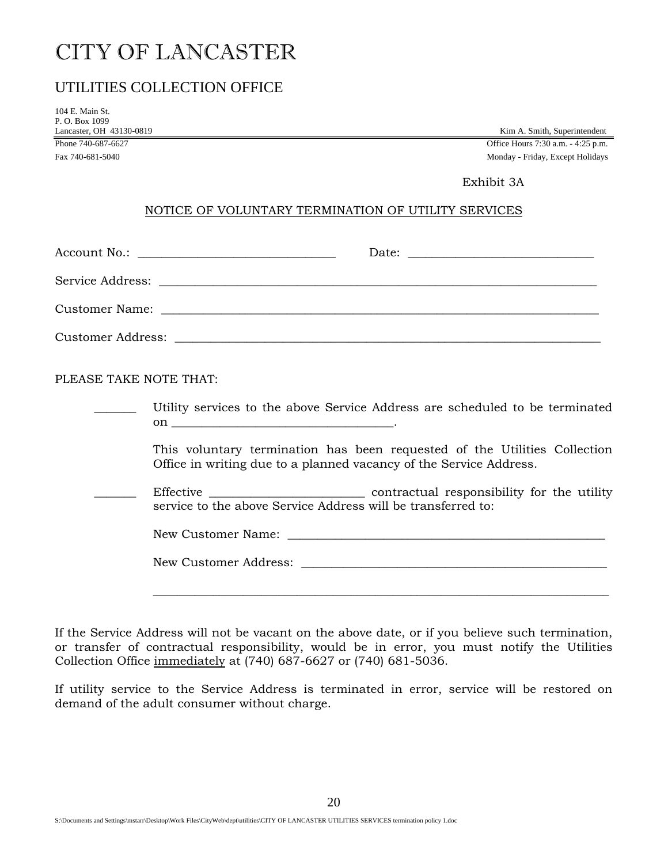### UTILITIES COLLECTION OFFICE

104 E. Main St. P. O. Box 1099 Lancaster, OH 43130-0819<br>
Phone 740-687-6627<br>
Office Hours 7:30 a.m. - 4:25 p.m.

Office Hours 7:30 a.m. - 4:25 p.m.

Fax 740-681-5040 Monday - Friday, Except Holidays

### Exhibit 3A

### NOTICE OF VOLUNTARY TERMINATION OF UTILITY SERVICES

| Account No.: ___________________________________ |  |
|--------------------------------------------------|--|
|                                                  |  |
|                                                  |  |
|                                                  |  |

PLEASE TAKE NOTE THAT:

|  |  |  |  |  |  | Utility services to the above Service Address are scheduled to be terminated |
|--|--|--|--|--|--|------------------------------------------------------------------------------|
|  |  |  |  |  |  |                                                                              |

 This voluntary termination has been requested of the Utilities Collection Office in writing due to a planned vacancy of the Service Address.

Effective <u>\_\_\_\_\_\_\_\_\_\_\_\_\_\_\_</u> contractual responsibility for the utility service to the above Service Address will be transferred to:

New Customer Name: \_\_\_\_\_\_\_\_\_\_\_\_\_\_\_\_\_\_\_\_\_\_\_\_\_\_\_\_\_\_\_\_\_\_\_\_\_\_\_\_\_\_\_\_\_\_\_\_\_\_\_\_\_

New Customer Address: \_\_\_\_\_\_\_\_\_\_\_\_\_\_\_\_\_\_\_\_\_\_\_\_\_\_\_\_\_\_\_\_\_\_\_\_\_\_\_\_\_\_\_\_\_\_\_\_\_\_\_

\_\_\_\_\_\_\_\_\_\_\_\_\_\_\_\_\_\_\_\_\_\_\_\_\_\_\_\_\_\_\_\_\_\_\_\_\_\_\_\_\_\_\_\_\_\_\_\_\_\_\_\_\_\_\_\_\_\_\_\_\_\_\_\_\_\_\_\_\_\_\_\_\_\_\_\_

If the Service Address will not be vacant on the above date, or if you believe such termination, or transfer of contractual responsibility, would be in error, you must notify the Utilities Collection Office immediately at (740) 687-6627 or (740) 681-5036.

If utility service to the Service Address is terminated in error, service will be restored on demand of the adult consumer without charge.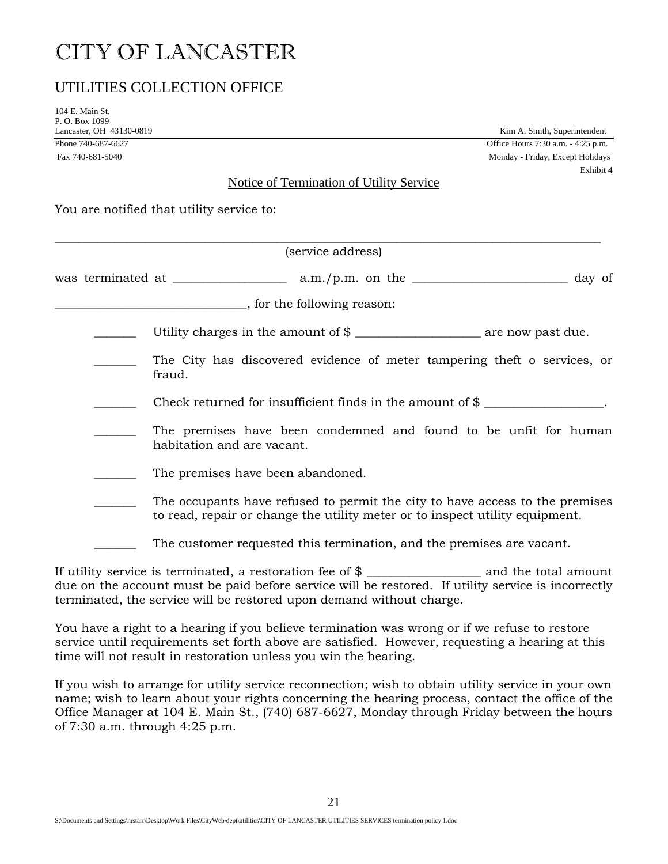### UTILITIES COLLECTION OFFICE

104 E. Main St. P. O. Box 1099

Lancaster, OH 43130-0819<br>
Phone 740-687-6627<br>
Office Hours 7:30 a.m. - 4:25 p.m. Office Hours 7:30 a.m. - 4:25 p.m. Fax 740-681-5040 Monday - Friday, Except Holidays Exhibit 4

### Notice of Termination of Utility Service

You are notified that utility service to:

|  | (service address)                                                                                                                                            |
|--|--------------------------------------------------------------------------------------------------------------------------------------------------------------|
|  |                                                                                                                                                              |
|  |                                                                                                                                                              |
|  |                                                                                                                                                              |
|  | The City has discovered evidence of meter tampering theft o services, or<br>fraud.                                                                           |
|  | Check returned for insufficient finds in the amount of $\frac{1}{2}$ __________________.                                                                     |
|  | The premises have been condemned and found to be unfit for human<br>habitation and are vacant.                                                               |
|  | The premises have been abandoned.                                                                                                                            |
|  | The occupants have refused to permit the city to have access to the premises<br>to read, repair or change the utility meter or to inspect utility equipment. |
|  | The customer requested this termination, and the premises are vacant.                                                                                        |

If utility service is terminated, a restoration fee of \$ \_\_\_\_\_\_\_\_\_\_\_\_\_\_\_\_\_\_\_\_\_\_\_\_ and the total amount due on the account must be paid before service will be restored. If utility service is incorrectly terminated, the service will be restored upon demand without charge.

You have a right to a hearing if you believe termination was wrong or if we refuse to restore service until requirements set forth above are satisfied. However, requesting a hearing at this time will not result in restoration unless you win the hearing.

If you wish to arrange for utility service reconnection; wish to obtain utility service in your own name; wish to learn about your rights concerning the hearing process, contact the office of the Office Manager at 104 E. Main St., (740) 687-6627, Monday through Friday between the hours of 7:30 a.m. through 4:25 p.m.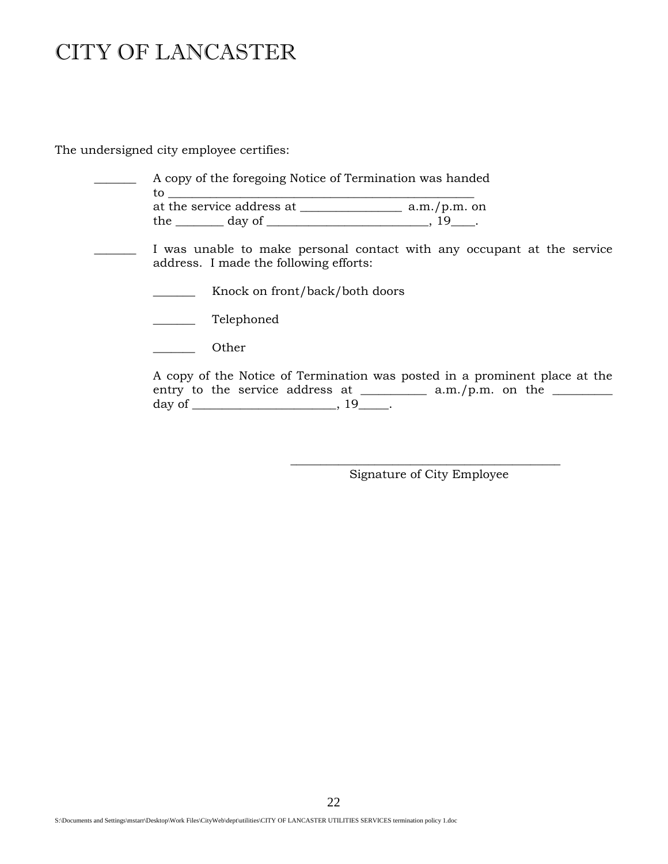The undersigned city employee certifies:

| A copy of the foregoing Notice of Termination was handed<br>to the contract of the contract of the contract of the contract of the contract of the contract of the contract of the contract of the contract of the contract of the contract of the contract of the contract of the contrac |  |  |  |  |  |  |
|--------------------------------------------------------------------------------------------------------------------------------------------------------------------------------------------------------------------------------------------------------------------------------------------|--|--|--|--|--|--|
|                                                                                                                                                                                                                                                                                            |  |  |  |  |  |  |
| the $\_\_\_\_$ day of $\_\_\_\_\_\_\_\_$ , 19 $\_\_\_\_\_\.\$                                                                                                                                                                                                                              |  |  |  |  |  |  |
| I was unable to make personal contact with any occupant at the service<br>address. I made the following efforts:                                                                                                                                                                           |  |  |  |  |  |  |
| Knock on front/back/both doors                                                                                                                                                                                                                                                             |  |  |  |  |  |  |
| Telephoned                                                                                                                                                                                                                                                                                 |  |  |  |  |  |  |
| Other                                                                                                                                                                                                                                                                                      |  |  |  |  |  |  |
| A copy of the Notice of Termination was posted in a prominent place at the<br>entry to the service address at $\_\_\_\_\_$ a.m./p.m. on the $\_\_\_\_\_\_\$                                                                                                                                |  |  |  |  |  |  |

\_\_\_\_\_\_\_\_\_\_\_\_\_\_\_\_\_\_\_\_\_\_\_\_\_\_\_\_\_\_\_\_\_\_\_\_\_\_\_\_\_\_\_\_\_ Signature of City Employee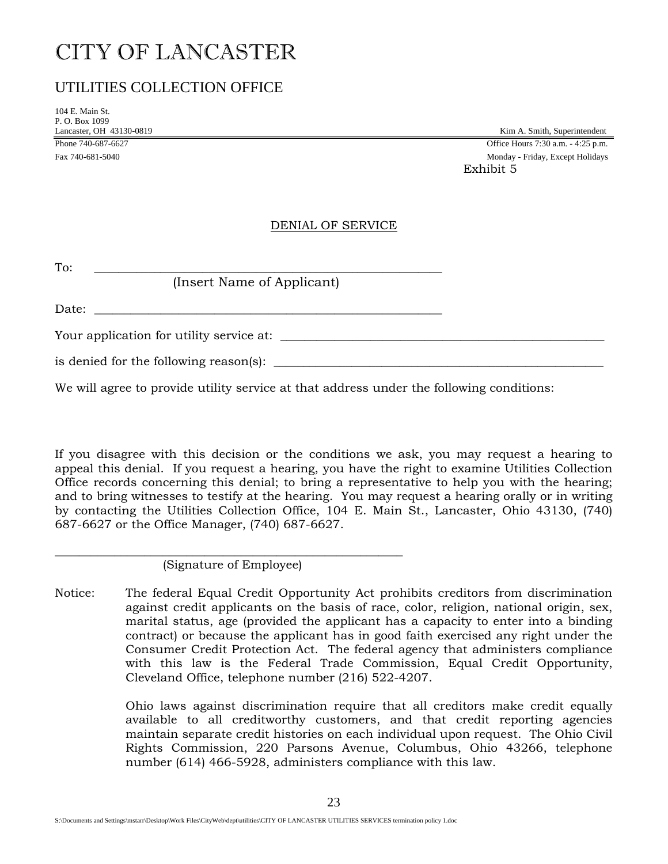### UTILITIES COLLECTION OFFICE

104 E. Main St. P. O. Box 1099

Lancaster, OH 43130-0819 Kim A. Smith, Superintendent Phone 740-687-6627 **Office Hours 7:30 a.m.** - 4:25 p.m. Fax 740-681-5040 Monday - Friday, Except Holidays Exhibit 5

### DENIAL OF SERVICE

| To:                                                                |  |
|--------------------------------------------------------------------|--|
| (Insert Name of Applicant)                                         |  |
| Date:<br><u> 1989 - John Stein, Amerikaansk politiker († 1989)</u> |  |
| Your application for utility service at:                           |  |
| is denied for the following reason(s):                             |  |

We will agree to provide utility service at that address under the following conditions:

If you disagree with this decision or the conditions we ask, you may request a hearing to appeal this denial. If you request a hearing, you have the right to examine Utilities Collection Office records concerning this denial; to bring a representative to help you with the hearing; and to bring witnesses to testify at the hearing. You may request a hearing orally or in writing by contacting the Utilities Collection Office, 104 E. Main St., Lancaster, Ohio 43130, (740) 687-6627 or the Office Manager, (740) 687-6627.

\_\_\_\_\_\_\_\_\_\_\_\_\_\_\_\_\_\_\_\_\_\_\_\_\_\_\_\_\_\_\_\_\_\_\_\_\_\_\_\_\_\_\_\_\_\_\_\_\_\_\_\_\_\_\_\_\_\_ (Signature of Employee)

Notice: The federal Equal Credit Opportunity Act prohibits creditors from discrimination against credit applicants on the basis of race, color, religion, national origin, sex, marital status, age (provided the applicant has a capacity to enter into a binding contract) or because the applicant has in good faith exercised any right under the Consumer Credit Protection Act. The federal agency that administers compliance with this law is the Federal Trade Commission, Equal Credit Opportunity, Cleveland Office, telephone number (216) 522-4207.

> Ohio laws against discrimination require that all creditors make credit equally available to all creditworthy customers, and that credit reporting agencies maintain separate credit histories on each individual upon request. The Ohio Civil Rights Commission, 220 Parsons Avenue, Columbus, Ohio 43266, telephone number (614) 466-5928, administers compliance with this law.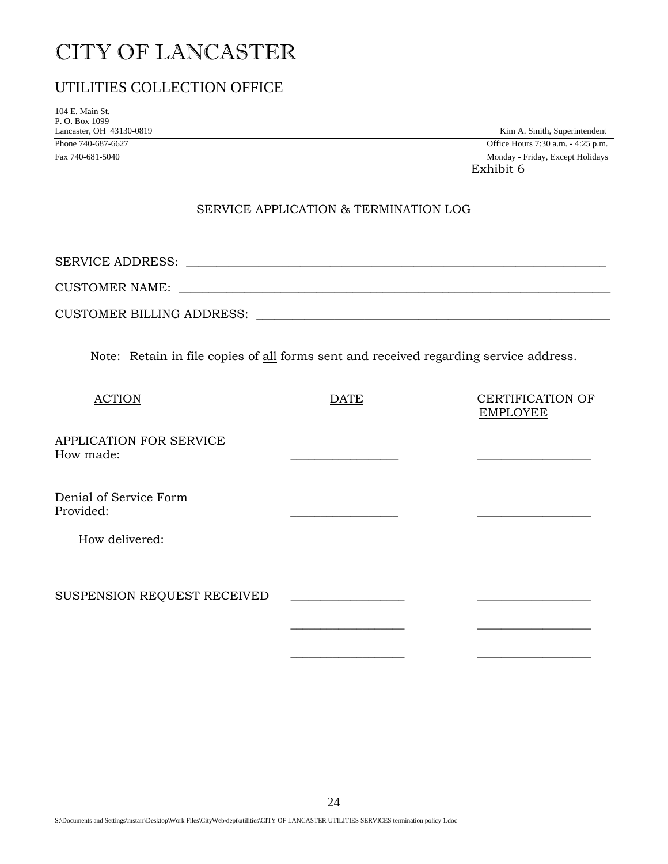### UTILITIES COLLECTION OFFICE

104 E. Main St. P. O. Box 1099

Lancaster, OH 43130-0819 Kim A. Smith, Superintendent<br>
Phone 740-687-6627 Office Hours 7:30 a.m. - 4:25 p.m. Office Hours 7:30 a.m. - 4:25 p.m. Fax 740-681-5040 Monday - Friday, Except Holidays Exhibit 6

### SERVICE APPLICATION & TERMINATION LOG

| <b>SERVICE ADDRESS:</b>          |  |
|----------------------------------|--|
| <b>CUSTOMER NAME:</b>            |  |
| <b>CUSTOMER BILLING ADDRESS:</b> |  |

Note: Retain in file copies of all forms sent and received regarding service address.

| <b>ACTION</b>                        | DATE | <b>CERTIFICATION OF</b><br><b>EMPLOYEE</b> |
|--------------------------------------|------|--------------------------------------------|
| APPLICATION FOR SERVICE<br>How made: |      |                                            |
| Denial of Service Form<br>Provided:  |      |                                            |
| How delivered:                       |      |                                            |
| SUSPENSION REQUEST RECEIVED          |      |                                            |
|                                      |      |                                            |

 $\frac{1}{\sqrt{2}}$  ,  $\frac{1}{\sqrt{2}}$  ,  $\frac{1}{\sqrt{2}}$  ,  $\frac{1}{\sqrt{2}}$  ,  $\frac{1}{\sqrt{2}}$  ,  $\frac{1}{\sqrt{2}}$  ,  $\frac{1}{\sqrt{2}}$  ,  $\frac{1}{\sqrt{2}}$  ,  $\frac{1}{\sqrt{2}}$  ,  $\frac{1}{\sqrt{2}}$  ,  $\frac{1}{\sqrt{2}}$  ,  $\frac{1}{\sqrt{2}}$  ,  $\frac{1}{\sqrt{2}}$  ,  $\frac{1}{\sqrt{2}}$  ,  $\frac{1}{\sqrt{2}}$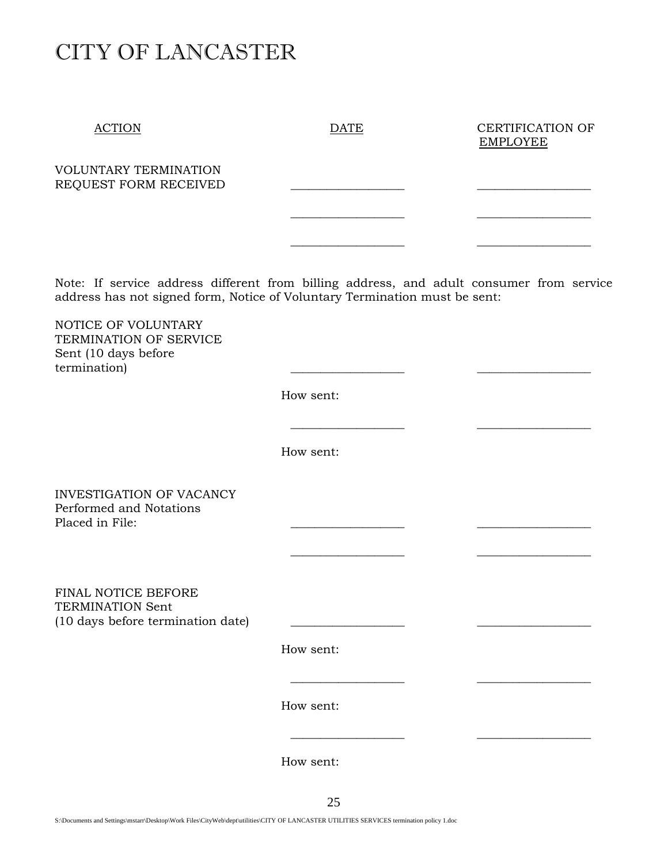ACTION DATE DATE CERTIFICATION OF EMPLOYEE

VOLUNTARY TERMINATION REQUEST FORM RECEIVED

Note: If service address different from billing address, and adult consumer from service address has not signed form, Notice of Voluntary Termination must be sent:

 $\mathcal{L}_\text{max}$  , where  $\mathcal{L}_\text{max}$ 

 $\frac{1}{\sqrt{2}}$  ,  $\frac{1}{\sqrt{2}}$  ,  $\frac{1}{\sqrt{2}}$  ,  $\frac{1}{\sqrt{2}}$  ,  $\frac{1}{\sqrt{2}}$  ,  $\frac{1}{\sqrt{2}}$  ,  $\frac{1}{\sqrt{2}}$  ,  $\frac{1}{\sqrt{2}}$  ,  $\frac{1}{\sqrt{2}}$  ,  $\frac{1}{\sqrt{2}}$  ,  $\frac{1}{\sqrt{2}}$  ,  $\frac{1}{\sqrt{2}}$  ,  $\frac{1}{\sqrt{2}}$  ,  $\frac{1}{\sqrt{2}}$  ,  $\frac{1}{\sqrt{2}}$ 

 $\frac{1}{\sqrt{2}}$  ,  $\frac{1}{\sqrt{2}}$  ,  $\frac{1}{\sqrt{2}}$  ,  $\frac{1}{\sqrt{2}}$  ,  $\frac{1}{\sqrt{2}}$  ,  $\frac{1}{\sqrt{2}}$  ,  $\frac{1}{\sqrt{2}}$  ,  $\frac{1}{\sqrt{2}}$  ,  $\frac{1}{\sqrt{2}}$  ,  $\frac{1}{\sqrt{2}}$  ,  $\frac{1}{\sqrt{2}}$  ,  $\frac{1}{\sqrt{2}}$  ,  $\frac{1}{\sqrt{2}}$  ,  $\frac{1}{\sqrt{2}}$  ,  $\frac{1}{\sqrt{2}}$ 

NOTICE OF VOLUNTARY TERMINATION OF SERVICE Sent (10 days before termination)

How sent:

How sent:

 $\frac{1}{\sqrt{2}}$  ,  $\frac{1}{\sqrt{2}}$  ,  $\frac{1}{\sqrt{2}}$  ,  $\frac{1}{\sqrt{2}}$  ,  $\frac{1}{\sqrt{2}}$  ,  $\frac{1}{\sqrt{2}}$  ,  $\frac{1}{\sqrt{2}}$  ,  $\frac{1}{\sqrt{2}}$  ,  $\frac{1}{\sqrt{2}}$  ,  $\frac{1}{\sqrt{2}}$  ,  $\frac{1}{\sqrt{2}}$  ,  $\frac{1}{\sqrt{2}}$  ,  $\frac{1}{\sqrt{2}}$  ,  $\frac{1}{\sqrt{2}}$  ,  $\frac{1}{\sqrt{2}}$ 

INVESTIGATION OF VACANCY Performed and Notations Placed in File:

FINAL NOTICE BEFORE TERMINATION Sent  $(10 \text{ days before termination date})$ 

How sent:

How sent:

 $\frac{1}{\sqrt{2}}$  ,  $\frac{1}{\sqrt{2}}$  ,  $\frac{1}{\sqrt{2}}$  ,  $\frac{1}{\sqrt{2}}$  ,  $\frac{1}{\sqrt{2}}$  ,  $\frac{1}{\sqrt{2}}$  ,  $\frac{1}{\sqrt{2}}$  ,  $\frac{1}{\sqrt{2}}$  ,  $\frac{1}{\sqrt{2}}$  ,  $\frac{1}{\sqrt{2}}$  ,  $\frac{1}{\sqrt{2}}$  ,  $\frac{1}{\sqrt{2}}$  ,  $\frac{1}{\sqrt{2}}$  ,  $\frac{1}{\sqrt{2}}$  ,  $\frac{1}{\sqrt{2}}$ 

 $\frac{1}{\sqrt{2}}$  ,  $\frac{1}{\sqrt{2}}$  ,  $\frac{1}{\sqrt{2}}$  ,  $\frac{1}{\sqrt{2}}$  ,  $\frac{1}{\sqrt{2}}$  ,  $\frac{1}{\sqrt{2}}$  ,  $\frac{1}{\sqrt{2}}$  ,  $\frac{1}{\sqrt{2}}$  ,  $\frac{1}{\sqrt{2}}$  ,  $\frac{1}{\sqrt{2}}$  ,  $\frac{1}{\sqrt{2}}$  ,  $\frac{1}{\sqrt{2}}$  ,  $\frac{1}{\sqrt{2}}$  ,  $\frac{1}{\sqrt{2}}$  ,  $\frac{1}{\sqrt{2}}$ 

How sent: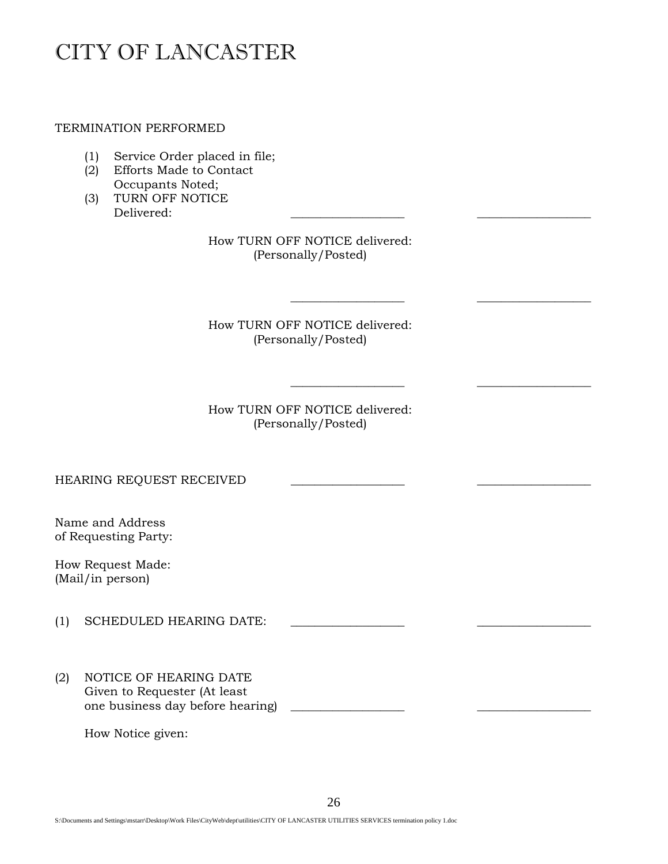TERMINATION PERFORMED

- (1) Service Order placed in file;
- (2) Efforts Made to Contact Occupants Noted;
- (3) TURN OFF NOTICE Delivered: \_\_\_\_\_\_\_\_\_\_\_\_\_\_\_\_\_\_\_ \_\_\_\_\_\_\_\_\_\_\_\_\_\_\_\_\_\_\_

How TURN OFF NOTICE delivered: (Personally/Posted)

How TURN OFF NOTICE delivered: (Personally/Posted)

 $\frac{1}{\sqrt{2}}$  ,  $\frac{1}{\sqrt{2}}$  ,  $\frac{1}{\sqrt{2}}$  ,  $\frac{1}{\sqrt{2}}$  ,  $\frac{1}{\sqrt{2}}$  ,  $\frac{1}{\sqrt{2}}$  ,  $\frac{1}{\sqrt{2}}$  ,  $\frac{1}{\sqrt{2}}$  ,  $\frac{1}{\sqrt{2}}$  ,  $\frac{1}{\sqrt{2}}$  ,  $\frac{1}{\sqrt{2}}$  ,  $\frac{1}{\sqrt{2}}$  ,  $\frac{1}{\sqrt{2}}$  ,  $\frac{1}{\sqrt{2}}$  ,  $\frac{1}{\sqrt{2}}$ 

 $\frac{1}{\sqrt{2}}$  ,  $\frac{1}{\sqrt{2}}$  ,  $\frac{1}{\sqrt{2}}$  ,  $\frac{1}{\sqrt{2}}$  ,  $\frac{1}{\sqrt{2}}$  ,  $\frac{1}{\sqrt{2}}$  ,  $\frac{1}{\sqrt{2}}$  ,  $\frac{1}{\sqrt{2}}$  ,  $\frac{1}{\sqrt{2}}$  ,  $\frac{1}{\sqrt{2}}$  ,  $\frac{1}{\sqrt{2}}$  ,  $\frac{1}{\sqrt{2}}$  ,  $\frac{1}{\sqrt{2}}$  ,  $\frac{1}{\sqrt{2}}$  ,  $\frac{1}{\sqrt{2}}$ 

How TURN OFF NOTICE delivered: (Personally/Posted)

HEARING REQUEST RECEIVED

Name and Address of Requesting Party:

How Request Made: (Mail/in person)

- (1) SCHEDULED HEARING DATE:
- (2) NOTICE OF HEARING DATE Given to Requester (At least one business day before hearing **with the set of the set of the set of the set of the set of the set of the set o**

How Notice given: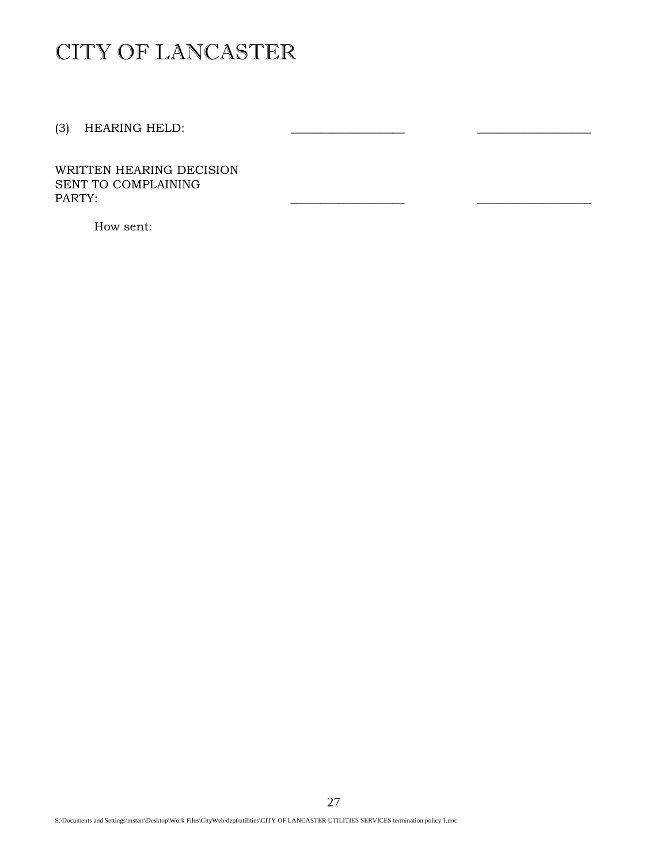(3) HEARING HELD:

WRITTEN HEARING DECISION SENT TO COMPLAINING PARTY: PARTY: \_\_\_\_\_\_\_\_\_\_\_\_\_\_\_\_\_\_\_ \_\_\_\_\_\_\_\_\_\_\_\_\_\_\_\_\_\_\_

How sent: